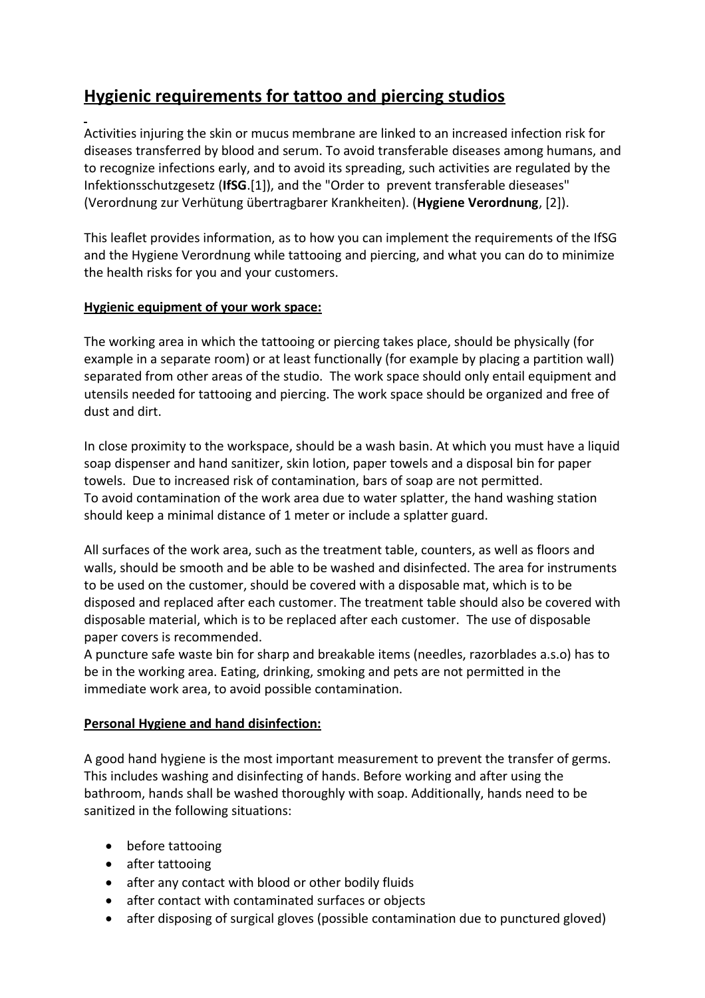# **Hygienic requirements for tattoo and piercing studios**

Activities injuring the skin or mucus membrane are linked to an increased infection risk for diseases transferred by blood and serum. To avoid transferable diseases among humans, and to recognize infections early, and to avoid its spreading, such activities are regulated by the Infektionsschutzgesetz (**IfSG**.[1]), and the "Order to prevent transferable dieseases" (Verordnung zur Verhütung übertragbarer Krankheiten). (**Hygiene Verordnung**, [2]).

This leaflet provides information, as to how you can implement the requirements of the IfSG and the Hygiene Verordnung while tattooing and piercing, and what you can do to minimize the health risks for you and your customers.

# **Hygienic equipment of your work space:**

The working area in which the tattooing or piercing takes place, should be physically (for example in a separate room) or at least functionally (for example by placing a partition wall) separated from other areas of the studio. The work space should only entail equipment and utensils needed for tattooing and piercing. The work space should be organized and free of dust and dirt.

In close proximity to the workspace, should be a wash basin. At which you must have a liquid soap dispenser and hand sanitizer, skin lotion, paper towels and a disposal bin for paper towels. Due to increased risk of contamination, bars of soap are not permitted. To avoid contamination of the work area due to water splatter, the hand washing station should keep a minimal distance of 1 meter or include a splatter guard.

All surfaces of the work area, such as the treatment table, counters, as well as floors and walls, should be smooth and be able to be washed and disinfected. The area for instruments to be used on the customer, should be covered with a disposable mat, which is to be disposed and replaced after each customer. The treatment table should also be covered with disposable material, which is to be replaced after each customer. The use of disposable paper covers is recommended.

A puncture safe waste bin for sharp and breakable items (needles, razorblades a.s.o) has to be in the working area. Eating, drinking, smoking and pets are not permitted in the immediate work area, to avoid possible contamination.

# **Personal Hygiene and hand disinfection:**

A good hand hygiene is the most important measurement to prevent the transfer of germs. This includes washing and disinfecting of hands. Before working and after using the bathroom, hands shall be washed thoroughly with soap. Additionally, hands need to be sanitized in the following situations:

- before tattooing
- after tattooing
- after any contact with blood or other bodily fluids
- after contact with contaminated surfaces or objects
- after disposing of surgical gloves (possible contamination due to punctured gloved)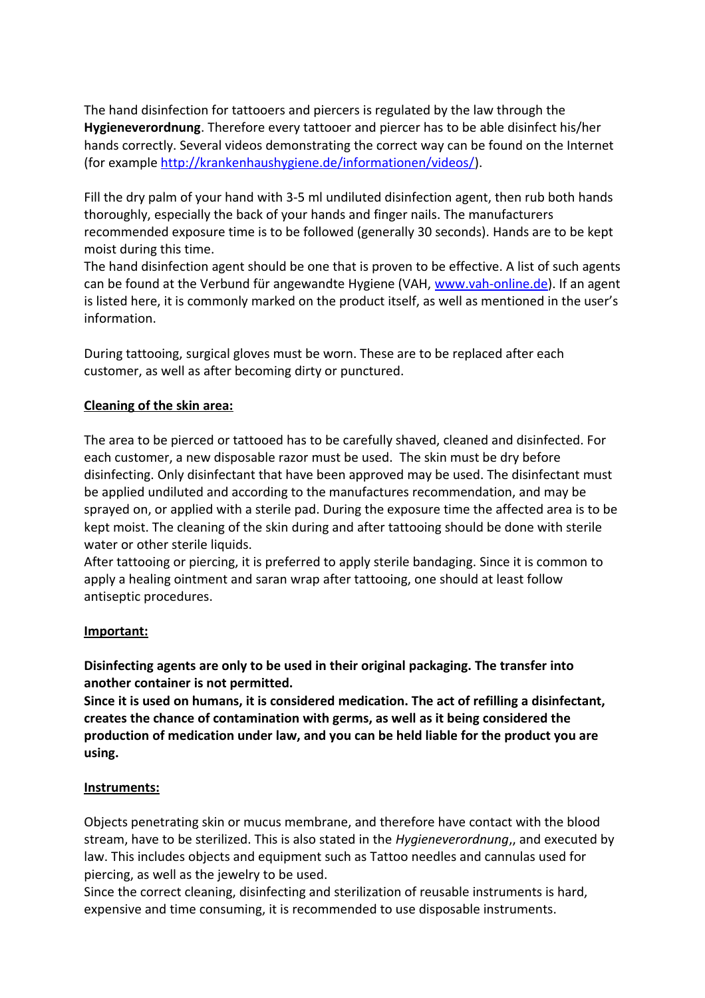The hand disinfection for tattooers and piercers is regulated by the law through the **Hygieneverordnung**. Therefore every tattooer and piercer has to be able disinfect his/her hands correctly. Several videos demonstrating the correct way can be found on the Internet (for example [http://krankenhaushygiene.de/informationen/videos/\)](http://krankenhaushygiene.de/informationen/videos/).

Fill the dry palm of your hand with 3-5 ml undiluted disinfection agent, then rub both hands thoroughly, especially the back of your hands and finger nails. The manufacturers recommended exposure time is to be followed (generally 30 seconds). Hands are to be kept moist during this time.

The hand disinfection agent should be one that is proven to be effective. A list of such agents can be found at the Verbund für angewandte Hygiene (VAH, [www.vah-online.de\)](http://www.vah-online.de/). If an agent is listed here, it is commonly marked on the product itself, as well as mentioned in the user's information.

During tattooing, surgical gloves must be worn. These are to be replaced after each customer, as well as after becoming dirty or punctured.

## **Cleaning of the skin area:**

The area to be pierced or tattooed has to be carefully shaved, cleaned and disinfected. For each customer, a new disposable razor must be used. The skin must be dry before disinfecting. Only disinfectant that have been approved may be used. The disinfectant must be applied undiluted and according to the manufactures recommendation, and may be sprayed on, or applied with a sterile pad. During the exposure time the affected area is to be kept moist. The cleaning of the skin during and after tattooing should be done with sterile water or other sterile liquids.

After tattooing or piercing, it is preferred to apply sterile bandaging. Since it is common to apply a healing ointment and saran wrap after tattooing, one should at least follow antiseptic procedures.

#### **Important:**

**Disinfecting agents are only to be used in their original packaging. The transfer into another container is not permitted.** 

**Since it is used on humans, it is considered medication. The act of refilling a disinfectant, creates the chance of contamination with germs, as well as it being considered the production of medication under law, and you can be held liable for the product you are using.** 

#### **Instruments:**

Objects penetrating skin or mucus membrane, and therefore have contact with the blood stream, have to be sterilized. This is also stated in the *Hygieneverordnung*,, and executed by law. This includes objects and equipment such as Tattoo needles and cannulas used for piercing, as well as the jewelry to be used.

Since the correct cleaning, disinfecting and sterilization of reusable instruments is hard, expensive and time consuming, it is recommended to use disposable instruments.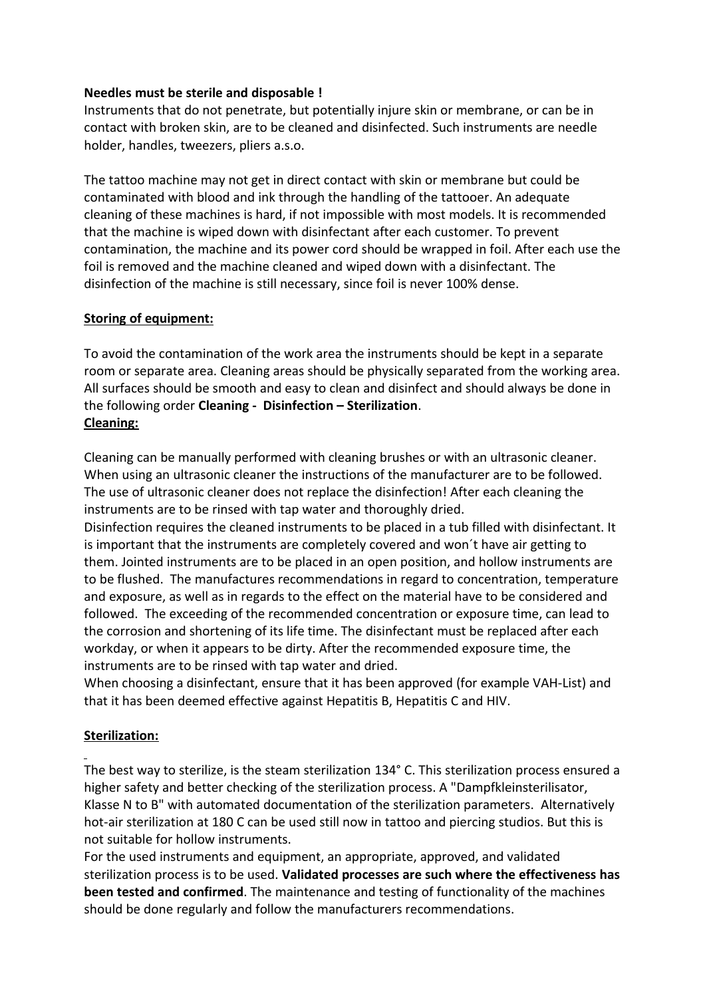#### **Needles must be sterile and disposable !**

Instruments that do not penetrate, but potentially injure skin or membrane, or can be in contact with broken skin, are to be cleaned and disinfected. Such instruments are needle holder, handles, tweezers, pliers a.s.o.

The tattoo machine may not get in direct contact with skin or membrane but could be contaminated with blood and ink through the handling of the tattooer. An adequate cleaning of these machines is hard, if not impossible with most models. It is recommended that the machine is wiped down with disinfectant after each customer. To prevent contamination, the machine and its power cord should be wrapped in foil. After each use the foil is removed and the machine cleaned and wiped down with a disinfectant. The disinfection of the machine is still necessary, since foil is never 100% dense.

## **Storing of equipment:**

To avoid the contamination of the work area the instruments should be kept in a separate room or separate area. Cleaning areas should be physically separated from the working area. All surfaces should be smooth and easy to clean and disinfect and should always be done in the following order **Cleaning - Disinfection – Sterilization**. **Cleaning:**

Cleaning can be manually performed with cleaning brushes or with an ultrasonic cleaner. When using an ultrasonic cleaner the instructions of the manufacturer are to be followed. The use of ultrasonic cleaner does not replace the disinfection! After each cleaning the instruments are to be rinsed with tap water and thoroughly dried.

Disinfection requires the cleaned instruments to be placed in a tub filled with disinfectant. It is important that the instruments are completely covered and won´t have air getting to them. Jointed instruments are to be placed in an open position, and hollow instruments are to be flushed. The manufactures recommendations in regard to concentration, temperature and exposure, as well as in regards to the effect on the material have to be considered and followed. The exceeding of the recommended concentration or exposure time, can lead to the corrosion and shortening of its life time. The disinfectant must be replaced after each workday, or when it appears to be dirty. After the recommended exposure time, the instruments are to be rinsed with tap water and dried.

When choosing a disinfectant, ensure that it has been approved (for example VAH-List) and that it has been deemed effective against Hepatitis B, Hepatitis C and HIV.

# **Sterilization:**

The best way to sterilize, is the steam sterilization 134° C. This sterilization process ensured a higher safety and better checking of the sterilization process. A "Dampfkleinsterilisator, Klasse N to B" with automated documentation of the sterilization parameters. Alternatively hot-air sterilization at 180 C can be used still now in tattoo and piercing studios. But this is not suitable for hollow instruments.

For the used instruments and equipment, an appropriate, approved, and validated sterilization process is to be used. **Validated processes are such where the effectiveness has been tested and confirmed**. The maintenance and testing of functionality of the machines should be done regularly and follow the manufacturers recommendations.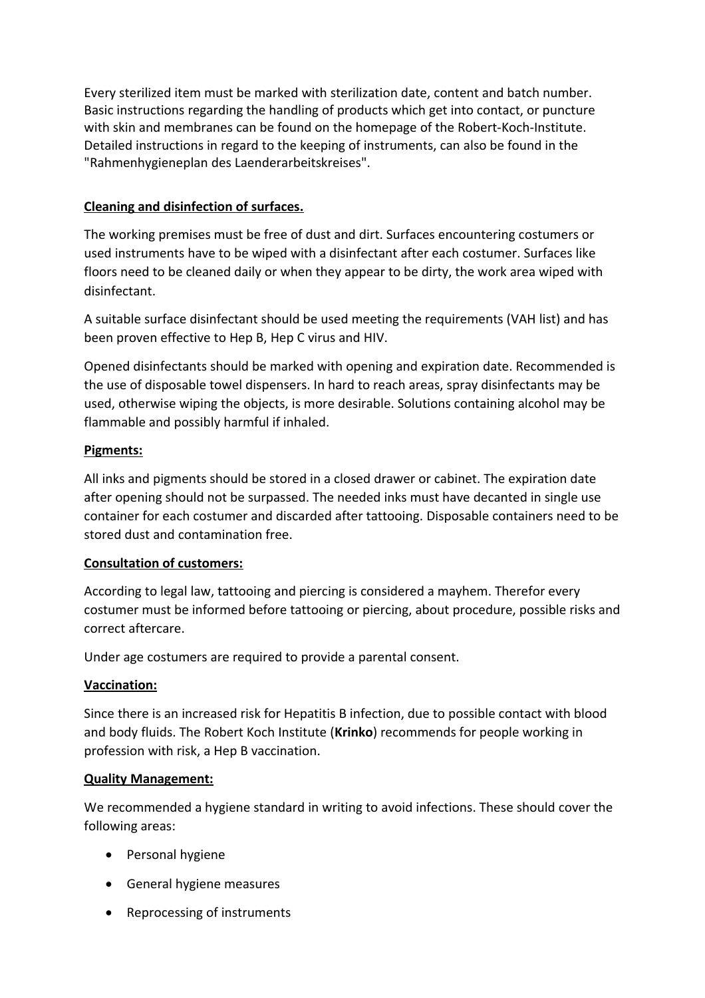Every sterilized item must be marked with sterilization date, content and batch number. Basic instructions regarding the handling of products which get into contact, or puncture with skin and membranes can be found on the homepage of the Robert-Koch-Institute. Detailed instructions in regard to the keeping of instruments, can also be found in the "Rahmenhygieneplan des Laenderarbeitskreises".

# **Cleaning and disinfection of surfaces.**

The working premises must be free of dust and dirt. Surfaces encountering costumers or used instruments have to be wiped with a disinfectant after each costumer. Surfaces like floors need to be cleaned daily or when they appear to be dirty, the work area wiped with disinfectant.

A suitable surface disinfectant should be used meeting the requirements (VAH list) and has been proven effective to Hep B, Hep C virus and HIV.

Opened disinfectants should be marked with opening and expiration date. Recommended is the use of disposable towel dispensers. In hard to reach areas, spray disinfectants may be used, otherwise wiping the objects, is more desirable. Solutions containing alcohol may be flammable and possibly harmful if inhaled.

# **Pigments:**

All inks and pigments should be stored in a closed drawer or cabinet. The expiration date after opening should not be surpassed. The needed inks must have decanted in single use container for each costumer and discarded after tattooing. Disposable containers need to be stored dust and contamination free.

## **Consultation of customers:**

According to legal law, tattooing and piercing is considered a mayhem. Therefor every costumer must be informed before tattooing or piercing, about procedure, possible risks and correct aftercare.

Under age costumers are required to provide a parental consent.

## **Vaccination:**

Since there is an increased risk for Hepatitis B infection, due to possible contact with blood and body fluids. The Robert Koch Institute (**Krinko**) recommends for people working in profession with risk, a Hep B vaccination.

## **Quality Management:**

We recommended a hygiene standard in writing to avoid infections. These should cover the following areas:

- Personal hygiene
- General hygiene measures
- Reprocessing of instruments